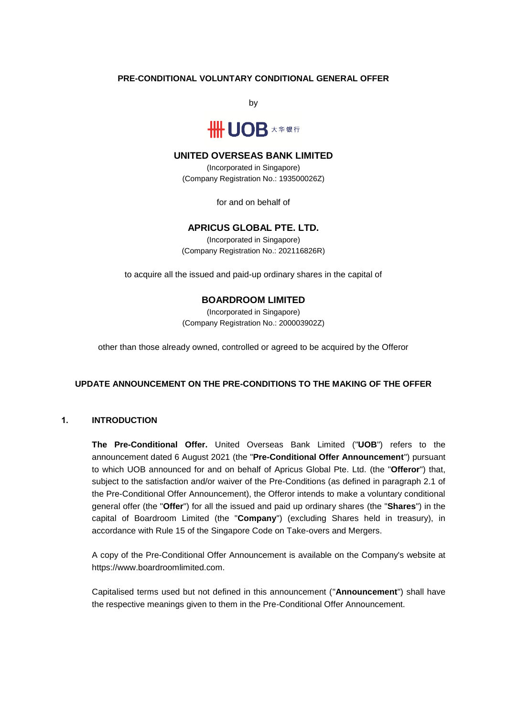# **PRE-CONDITIONAL VOLUNTARY CONDITIONAL GENERAL OFFER**

by



# **UNITED OVERSEAS BANK LIMITED**

(Incorporated in Singapore) (Company Registration No.: 193500026Z)

for and on behalf of

# **APRICUS GLOBAL PTE. LTD.**

(Incorporated in Singapore) (Company Registration No.: 202116826R)

to acquire all the issued and paid-up ordinary shares in the capital of

# **BOARDROOM LIMITED**

(Incorporated in Singapore) (Company Registration No.: 200003902Z)

other than those already owned, controlled or agreed to be acquired by the Offeror

# **UPDATE ANNOUNCEMENT ON THE PRE-CONDITIONS TO THE MAKING OF THE OFFER**

# **1. INTRODUCTION**

**The Pre-Conditional Offer.** United Overseas Bank Limited ("**UOB**") refers to the announcement dated 6 August 2021 (the "**Pre-Conditional Offer Announcement**") pursuant to which UOB announced for and on behalf of Apricus Global Pte. Ltd. (the "**Offeror**") that, subject to the satisfaction and/or waiver of the Pre-Conditions (as defined in paragraph 2.1 of the Pre-Conditional Offer Announcement), the Offeror intends to make a voluntary conditional general offer (the "**Offer**") for all the issued and paid up ordinary shares (the "**Shares**") in the capital of Boardroom Limited (the "**Company**") (excluding Shares held in treasury), in accordance with Rule 15 of the Singapore Code on Take-overs and Mergers.

A copy of the Pre-Conditional Offer Announcement is available on the Company's website at https://www.boardroomlimited.com.

Capitalised terms used but not defined in this announcement ("**Announcement**") shall have the respective meanings given to them in the Pre-Conditional Offer Announcement.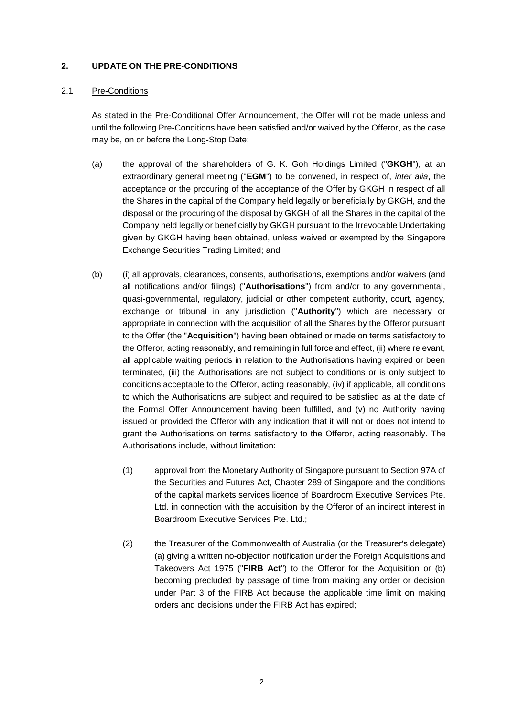# **2. UPDATE ON THE PRE-CONDITIONS**

### 2.1 Pre-Conditions

As stated in the Pre-Conditional Offer Announcement, the Offer will not be made unless and until the following Pre-Conditions have been satisfied and/or waived by the Offeror, as the case may be, on or before the Long-Stop Date:

- (a) the approval of the shareholders of G. K. Goh Holdings Limited ("**GKGH**"), at an extraordinary general meeting ("**EGM**") to be convened, in respect of, *inter alia*, the acceptance or the procuring of the acceptance of the Offer by GKGH in respect of all the Shares in the capital of the Company held legally or beneficially by GKGH, and the disposal or the procuring of the disposal by GKGH of all the Shares in the capital of the Company held legally or beneficially by GKGH pursuant to the Irrevocable Undertaking given by GKGH having been obtained, unless waived or exempted by the Singapore Exchange Securities Trading Limited; and
- (b) (i) all approvals, clearances, consents, authorisations, exemptions and/or waivers (and all notifications and/or filings) ("**Authorisations**") from and/or to any governmental, quasi-governmental, regulatory, judicial or other competent authority, court, agency, exchange or tribunal in any jurisdiction ("**Authority**") which are necessary or appropriate in connection with the acquisition of all the Shares by the Offeror pursuant to the Offer (the "**Acquisition**") having been obtained or made on terms satisfactory to the Offeror, acting reasonably, and remaining in full force and effect, (ii) where relevant, all applicable waiting periods in relation to the Authorisations having expired or been terminated, (iii) the Authorisations are not subject to conditions or is only subject to conditions acceptable to the Offeror, acting reasonably, (iv) if applicable, all conditions to which the Authorisations are subject and required to be satisfied as at the date of the Formal Offer Announcement having been fulfilled, and (v) no Authority having issued or provided the Offeror with any indication that it will not or does not intend to grant the Authorisations on terms satisfactory to the Offeror, acting reasonably. The Authorisations include, without limitation:
	- (1) approval from the Monetary Authority of Singapore pursuant to Section 97A of the Securities and Futures Act, Chapter 289 of Singapore and the conditions of the capital markets services licence of Boardroom Executive Services Pte. Ltd. in connection with the acquisition by the Offeror of an indirect interest in Boardroom Executive Services Pte. Ltd.;
	- (2) the Treasurer of the Commonwealth of Australia (or the Treasurer's delegate) (a) giving a written no-objection notification under the Foreign Acquisitions and Takeovers Act 1975 ("**FIRB Act**") to the Offeror for the Acquisition or (b) becoming precluded by passage of time from making any order or decision under Part 3 of the FIRB Act because the applicable time limit on making orders and decisions under the FIRB Act has expired;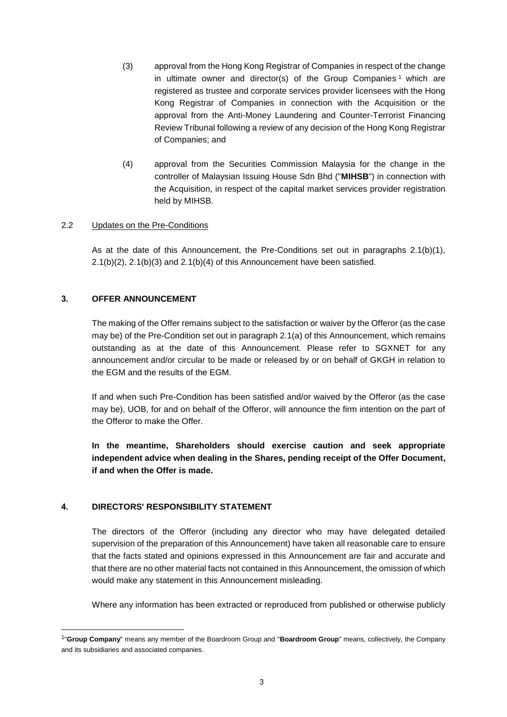- (3) approval from the Hong Kong Registrar of Companies in respect of the change in ultimate owner and director(s) of the Group Companies<sup>1</sup> which are registered as trustee and corporate services provider licensees with the Hong Kong Registrar of Companies in connection with the Acquisition or the approval from the Anti-Money Laundering and Counter-Terrorist Financing Review Tribunal following a review of any decision of the Hong Kong Registrar of Companies; and
- (4) approval from the Securities Commission Malaysia for the change in the controller of Malaysian Issuing House Sdn Bhd ("**MIHSB**") in connection with the Acquisition, in respect of the capital market services provider registration held by MIHSB.

# 2.2 Updates on the Pre-Conditions

As at the date of this Announcement, the Pre-Conditions set out in paragraphs 2.1(b)(1), 2.1(b)(2), 2.1(b)(3) and 2.1(b)(4) of this Announcement have been satisfied.

#### **3. OFFER ANNOUNCEMENT**

The making of the Offer remains subject to the satisfaction or waiver by the Offeror (as the case may be) of the Pre-Condition set out in paragraph 2.1(a) of this Announcement, which remains outstanding as at the date of this Announcement. Please refer to SGXNET for any announcement and/or circular to be made or released by or on behalf of GKGH in relation to the EGM and the results of the EGM.

If and when such Pre-Condition has been satisfied and/or waived by the Offeror (as the case may be), UOB, for and on behalf of the Offeror, will announce the firm intention on the part of the Offeror to make the Offer.

**In the meantime, Shareholders should exercise caution and seek appropriate independent advice when dealing in the Shares, pending receipt of the Offer Document, if and when the Offer is made.**

# **4. DIRECTORS' RESPONSIBILITY STATEMENT**

1

The directors of the Offeror (including any director who may have delegated detailed supervision of the preparation of this Announcement) have taken all reasonable care to ensure that the facts stated and opinions expressed in this Announcement are fair and accurate and that there are no other material facts not contained in this Announcement, the omission of which would make any statement in this Announcement misleading.

Where any information has been extracted or reproduced from published or otherwise publicly

<sup>1</sup> "**Group Company**" means any member of the Boardroom Group and "**Boardroom Group**" means, collectively, the Company and its subsidiaries and associated companies.